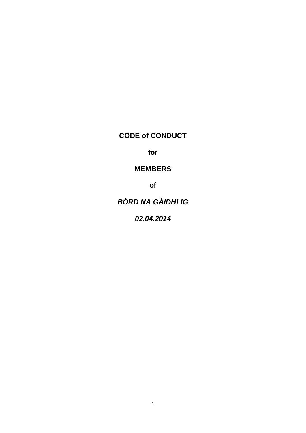**CODE of CONDUCT**

**for**

## **MEMBERS**

**of**

# *BÒRD NA GÀIDHLIG*

*02.04.2014*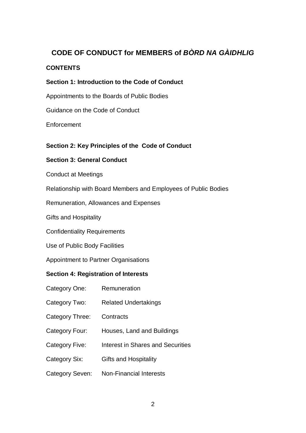## **CODE OF CONDUCT for MEMBERS of** *BÒRD NA GÀIDHLIG*

## **CONTENTS**

#### **Section 1: Introduction to the Code of Conduct**

Appointments to the Boards of Public Bodies

Guidance on the Code of Conduct

Enforcement

## **Section 2: Key Principles of the Code of Conduct**

#### **Section 3: General Conduct**

Conduct at Meetings

Relationship with Board Members and Employees of Public Bodies

Remuneration, Allowances and Expenses

Gifts and Hospitality

Confidentiality Requirements

Use of Public Body Facilities

Appointment to Partner Organisations

#### **Section 4: Registration of Interests**

- Category One: Remuneration
- Category Two: Related Undertakings
- Category Three: Contracts
- Category Four: Houses, Land and Buildings
- Category Five: Interest in Shares and Securities
- Category Six: Gifts and Hospitality
- Category Seven: Non-Financial Interests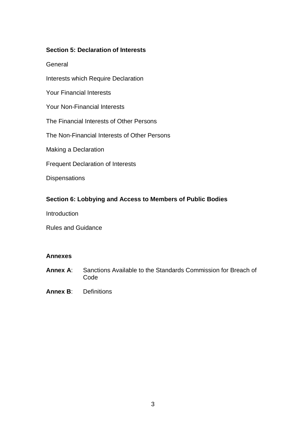#### **Section 5: Declaration of Interests**

**General** 

Interests which Require Declaration

Your Financial Interests

Your Non-Financial Interests

The Financial Interests of Other Persons

The Non-Financial Interests of Other Persons

Making a Declaration

Frequent Declaration of Interests

**Dispensations** 

#### **Section 6: Lobbying and Access to Members of Public Bodies**

**Introduction** 

Rules and Guidance

#### **Annexes**

- **Annex A**: Sanctions Available to the Standards Commission for Breach of Code
- **Annex B**: Definitions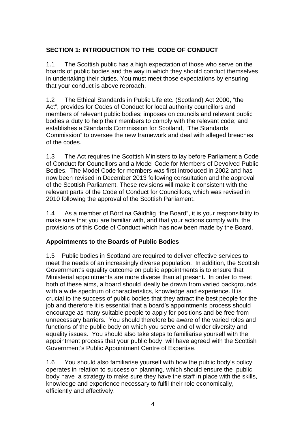## **SECTION 1: INTRODUCTION TO THE CODE OF CONDUCT**

1.1 The Scottish public has a high expectation of those who serve on the boards of public bodies and the way in which they should conduct themselves in undertaking their duties. You must meet those expectations by ensuring that your conduct is above reproach.

1.2 The Ethical Standards in Public Life etc. (Scotland) Act 2000, "the Act", provides for Codes of Conduct for local authority councillors and members of relevant public bodies; imposes on councils and relevant public bodies a duty to help their members to comply with the relevant code; and establishes a Standards Commission for Scotland, "The Standards Commission" to oversee the new framework and deal with alleged breaches of the codes.

1.3 The Act requires the Scottish Ministers to lay before Parliament a Code of Conduct for Councillors and a Model Code for Members of Devolved Public Bodies. The Model Code for members was first introduced in 2002 and has now been revised in December 2013 following consultation and the approval of the Scottish Parliament. These revisions will make it consistent with the relevant parts of the Code of Conduct for Councillors, which was revised in 2010 following the approval of the Scottish Parliament.

1.4 As a member of Bòrd na Gàidhlig "the Board", it is your responsibility to make sure that you are familiar with, and that your actions comply with, the provisions of this Code of Conduct which has now been made by the Board.

## **Appointments to the Boards of Public Bodies**

1.5 Public bodies in Scotland are required to deliver effective services to meet the needs of an increasingly diverse population. In addition, the Scottish Government's equality outcome on public appointments is to ensure that Ministerial appointments are more diverse than at present**.** In order to meet both of these aims, a board should ideally be drawn from varied backgrounds with a wide spectrum of characteristics, knowledge and experience. It is crucial to the success of public bodies that they attract the best people for the job and therefore it is essential that a board's appointments process should encourage as many suitable people to apply for positions and be free from unnecessary barriers. You should therefore be aware of the varied roles and functions of the public body on which you serve and of wider diversity and equality issues. You should also take steps to familiarise yourself with the appointment process that your public body will have agreed with the Scottish Government's Public Appointment Centre of Expertise.

1.6 You should also familiarise yourself with how the public body's policy operates in relation to succession planning, which should ensure the public body have a strategy to make sure they have the staff in place with the skills, knowledge and experience necessary to fulfil their role economically, efficiently and effectively.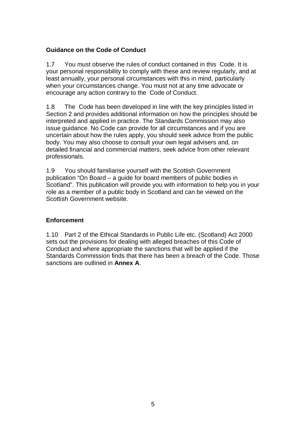## **Guidance on the Code of Conduct**

1.7 You must observe the rules of conduct contained in this Code. It is your personal responsibility to comply with these and review regularly, and at least annually, your personal circumstances with this in mind, particularly when your circumstances change. You must not at any time advocate or encourage any action contrary to the Code of Conduct.

1.8 The Code has been developed in line with the key principles listed in Section 2 and provides additional information on how the principles should be interpreted and applied in practice. The Standards Commission may also issue guidance. No Code can provide for all circumstances and if you are uncertain about how the rules apply, you should seek advice from the public body. You may also choose to consult your own legal advisers and, on detailed financial and commercial matters, seek advice from other relevant professionals.

1.9 You should familiarise yourself with the Scottish Government publication "On Board – a guide for board members of public bodies in Scotland". This publication will provide you with information to help you in your role as a member of a public body in Scotland and can be viewed on the Scottish Government website.

## **Enforcement**

1.10 Part 2 of the Ethical Standards in Public Life etc. (Scotland) Act 2000 sets out the provisions for dealing with alleged breaches of this Code of Conduct and where appropriate the sanctions that will be applied if the Standards Commission finds that there has been a breach of the Code. Those sanctions are outlined in **Annex A**.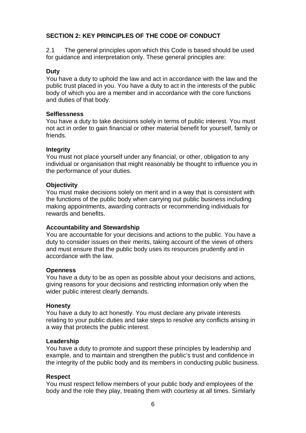## **SECTION 2: KEY PRINCIPLES OF THE CODE OF CONDUCT**

2.1 The general principles upon which this Code is based should be used for guidance and interpretation only. These general principles are:

## **Duty**

You have a duty to uphold the law and act in accordance with the law and the public trust placed in you. You have a duty to act in the interests of the public body of which you are a member and in accordance with the core functions and duties of that body.

## **Selflessness**

You have a duty to take decisions solely in terms of public interest. You must not act in order to gain financial or other material benefit for yourself, family or friends.

#### **Integrity**

You must not place yourself under any financial, or other, obligation to any individual or organisation that might reasonably be thought to influence you in the performance of your duties.

#### **Objectivity**

You must make decisions solely on merit and in a way that is consistent with the functions of the public body when carrying out public business including making appointments, awarding contracts or recommending individuals for rewards and benefits.

#### **Accountability and Stewardship**

You are accountable for your decisions and actions to the public. You have a duty to consider issues on their merits, taking account of the views of others and must ensure that the public body uses its resources prudently and in accordance with the law.

#### **Openness**

You have a duty to be as open as possible about your decisions and actions, giving reasons for your decisions and restricting information only when the wider public interest clearly demands.

#### **Honesty**

You have a duty to act honestly. You must declare any private interests relating to your public duties and take steps to resolve any conflicts arising in a way that protects the public interest.

#### **Leadership**

You have a duty to promote and support these principles by leadership and example, and to maintain and strengthen the public's trust and confidence in the integrity of the public body and its members in conducting public business.

## **Respect**

You must respect fellow members of your public body and employees of the body and the role they play, treating them with courtesy at all times. Similarly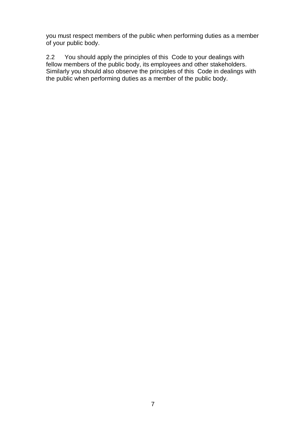you must respect members of the public when performing duties as a member of your public body.

2.2 You should apply the principles of this Code to your dealings with fellow members of the public body, its employees and other stakeholders. Similarly you should also observe the principles of this Code in dealings with the public when performing duties as a member of the public body.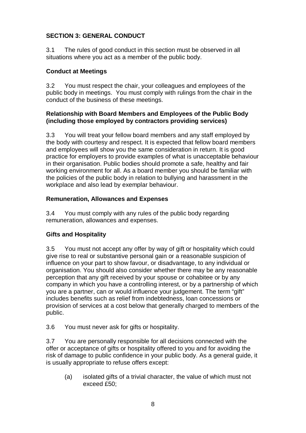## **SECTION 3: GENERAL CONDUCT**

3.1 The rules of good conduct in this section must be observed in all situations where you act as a member of the public body.

## **Conduct at Meetings**

3.2 You must respect the chair, your colleagues and employees of the public body in meetings. You must comply with rulings from the chair in the conduct of the business of these meetings.

#### **Relationship with Board Members and Employees of the Public Body (including those employed by contractors providing services)**

3.3 You will treat your fellow board members and any staff employed by the body with courtesy and respect. It is expected that fellow board members and employees will show you the same consideration in return. It is good practice for employers to provide examples of what is unacceptable behaviour in their organisation. Public bodies should promote a safe, healthy and fair working environment for all. As a board member you should be familiar with the policies of the public body in relation to bullying and harassment in the workplace and also lead by exemplar behaviour.

## **Remuneration, Allowances and Expenses**

3.4 You must comply with any rules of the public body regarding remuneration, allowances and expenses.

## **Gifts and Hospitality**

3.5 You must not accept any offer by way of gift or hospitality which could give rise to real or substantive personal gain or a reasonable suspicion of influence on your part to show favour, or disadvantage, to any individual or organisation. You should also consider whether there may be any reasonable perception that any gift received by your spouse or cohabitee or by any company in which you have a controlling interest, or by a partnership of which you are a partner, can or would influence your judgement. The term "gift" includes benefits such as relief from indebtedness, loan concessions or provision of services at a cost below that generally charged to members of the public.

3.6 You must never ask for gifts or hospitality.

3.7 You are personally responsible for all decisions connected with the offer or acceptance of gifts or hospitality offered to you and for avoiding the risk of damage to public confidence in your public body. As a general guide, it is usually appropriate to refuse offers except:

(a) isolated gifts of a trivial character, the value of which must not exceed £50;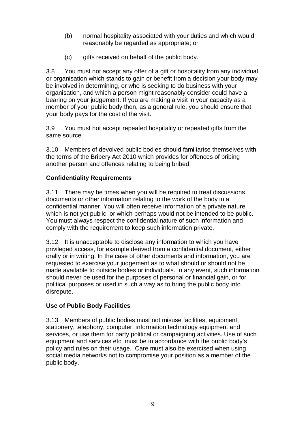- (b) normal hospitality associated with your duties and which would reasonably be regarded as appropriate; or
- (c) gifts received on behalf of the public body.

3.8 You must not accept any offer of a gift or hospitality from any individual or organisation which stands to gain or benefit from a decision your body may be involved in determining, or who is seeking to do business with your organisation, and which a person might reasonably consider could have a bearing on your judgement. If you are making a visit in your capacity as a member of your public body then, as a general rule, you should ensure that your body pays for the cost of the visit.

3.9 You must not accept repeated hospitality or repeated gifts from the same source.

3.10 Members of devolved public bodies should familiarise themselves with the terms of the Bribery Act 2010 which provides for offences of bribing another person and offences relating to being bribed.

## **Confidentiality Requirements**

3.11 There may be times when you will be required to treat discussions, documents or other information relating to the work of the body in a confidential manner. You will often receive information of a private nature which is not yet public, or which perhaps would not be intended to be public. You must always respect the confidential nature of such information and comply with the requirement to keep such information private.

3.12 It is unacceptable to disclose any information to which you have privileged access, for example derived from a confidential document, either orally or in writing. In the case of other documents and information, you are requested to exercise your judgement as to what should or should not be made available to outside bodies or individuals. In any event, such information should never be used for the purposes of personal or financial gain, or for political purposes or used in such a way as to bring the public body into disrepute.

## **Use of Public Body Facilities**

3.13 Members of public bodies must not misuse facilities, equipment, stationery, telephony, computer, information technology equipment and services, or use them for party political or campaigning activities. Use of such equipment and services etc. must be in accordance with the public body's policy and rules on their usage. Care must also be exercised when using social media networks not to compromise your position as a member of the public body.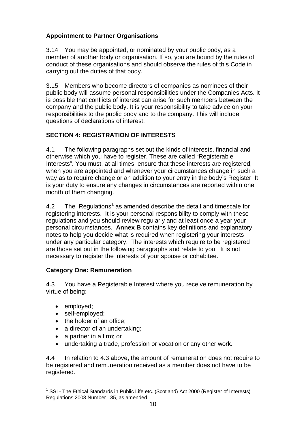## **Appointment to Partner Organisations**

3.14 You may be appointed, or nominated by your public body, as a member of another body or organisation. If so, you are bound by the rules of conduct of these organisations and should observe the rules of this Code in carrying out the duties of that body.

3.15 Members who become directors of companies as nominees of their public body will assume personal responsibilities under the Companies Acts. It is possible that conflicts of interest can arise for such members between the company and the public body. It is your responsibility to take advice on your responsibilities to the public body and to the company. This will include questions of declarations of interest.

## **SECTION 4: REGISTRATION OF INTERESTS**

4.1 The following paragraphs set out the kinds of interests, financial and otherwise which you have to register. These are called "Registerable Interests". You must, at all times, ensure that these interests are registered, when you are appointed and whenever your circumstances change in such a way as to require change or an addition to your entry in the body's Register. It is your duty to ensure any changes in circumstances are reported within one month of them changing.

4.2 The Regulations<sup>[1](#page-9-0)</sup> as amended describe the detail and timescale for registering interests. It is your personal responsibility to comply with these regulations and you should review regularly and at least once a year your personal circumstances. **Annex B** contains key definitions and explanatory notes to help you decide what is required when registering your interests under any particular category. The interests which require to be registered are those set out in the following paragraphs and relate to you. It is not necessary to register the interests of your spouse or cohabitee.

## **Category One: Remuneration**

4.3 You have a Registerable Interest where you receive remuneration by virtue of being:

- employed;
- self-employed;
- the holder of an office:
- a director of an undertaking;
- a partner in a firm; or
- undertaking a trade, profession or vocation or any other work.

4.4 In relation to 4.3 above, the amount of remuneration does not require to be registered and remuneration received as a member does not have to be registered.

<span id="page-9-0"></span> $1$  SSI - The Ethical Standards in Public Life etc. (Scotland) Act 2000 (Register of Interests) Regulations 2003 Number 135, as amended.  $\overline{a}$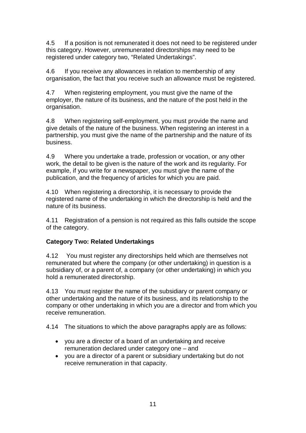4.5 If a position is not remunerated it does not need to be registered under this category. However, unremunerated directorships may need to be registered under category two, "Related Undertakings".

4.6 If you receive any allowances in relation to membership of any organisation, the fact that you receive such an allowance must be registered.

4.7 When registering employment, you must give the name of the employer, the nature of its business, and the nature of the post held in the organisation.

4.8 When registering self-employment, you must provide the name and give details of the nature of the business. When registering an interest in a partnership, you must give the name of the partnership and the nature of its business.

4.9 Where you undertake a trade, profession or vocation, or any other work, the detail to be given is the nature of the work and its regularity. For example, if you write for a newspaper, you must give the name of the publication, and the frequency of articles for which you are paid.

4.10 When registering a directorship, it is necessary to provide the registered name of the undertaking in which the directorship is held and the nature of its business.

4.11 Registration of a pension is not required as this falls outside the scope of the category.

## **Category Two: Related Undertakings**

4.12 You must register any directorships held which are themselves not remunerated but where the company (or other undertaking) in question is a subsidiary of, or a parent of, a company (or other undertaking) in which you hold a remunerated directorship.

4.13 You must register the name of the subsidiary or parent company or other undertaking and the nature of its business, and its relationship to the company or other undertaking in which you are a director and from which you receive remuneration.

4.14 The situations to which the above paragraphs apply are as follows:

- you are a director of a board of an undertaking and receive remuneration declared under category one – and
- you are a director of a parent or subsidiary undertaking but do not receive remuneration in that capacity.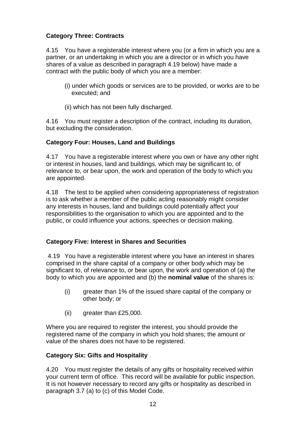## **Category Three: Contracts**

4.15 You have a registerable interest where you (or a firm in which you are a partner, or an undertaking in which you are a director or in which you have shares of a value as described in paragraph 4.19 below) have made a contract with the public body of which you are a member:

- (i) under which goods or services are to be provided, or works are to be executed; and
- (ii) which has not been fully discharged.

4.16 You must register a description of the contract, including its duration, but excluding the consideration.

#### **Category Four: Houses, Land and Buildings**

4.17 You have a registerable interest where you own or have any other right or interest in houses, land and buildings, which may be significant to, of relevance to, or bear upon, the work and operation of the body to which you are appointed.

4.18 The test to be applied when considering appropriateness of registration is to ask whether a member of the public acting reasonably might consider any interests in houses, land and buildings could potentially affect your responsibilities to the organisation to which you are appointed and to the public, or could influence your actions, speeches or decision making.

## **Category Five: Interest in Shares and Securities**

4.19 You have a registerable interest where you have an interest in shares comprised in the share capital of a company or other body which may be significant to, of relevance to, or bear upon, the work and operation of (a) the body to which you are appointed and (b) the **nominal value** of the shares is:

- (i) greater than 1% of the issued share capital of the company or other body; or
- (ii) greater than £25,000.

Where you are required to register the interest, you should provide the registered name of the company in which you hold shares; the amount or value of the shares does not have to be registered.

#### **Category Six: Gifts and Hospitality**

4.20 You must register the details of any gifts or hospitality received within your current term of office. This record will be available for public inspection. It is not however necessary to record any gifts or hospitality as described in paragraph 3.7 (a) to (c) of this Model Code.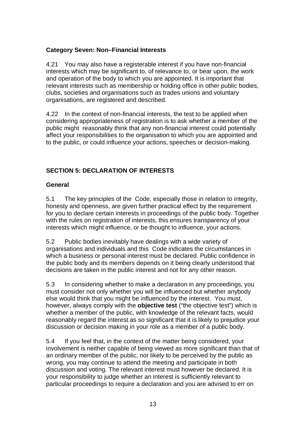## **Category Seven: Non–Financial Interests**

4.21 You may also have a registerable interest if you have non-financial interests which may be significant to, of relevance to, or bear upon, the work and operation of the body to which you are appointed. It is important that relevant interests such as membership or holding office in other public bodies, clubs, societies and organisations such as trades unions and voluntary organisations, are registered and described.

4.22 In the context of non-financial interests, the test to be applied when considering appropriateness of registration is to ask whether a member of the public might reasonably think that any non-financial interest could potentially affect your responsibilities to the organisation to which you are appointed and to the public, or could influence your actions, speeches or decision-making.

## **SECTION 5: DECLARATION OF INTERESTS**

## **General**

5.1 The key principles of the Code, especially those in relation to integrity, honesty and openness, are given further practical effect by the requirement for you to declare certain interests in proceedings of the public body. Together with the rules on registration of interests, this ensures transparency of your interests which might influence, or be thought to influence, your actions.

5.2 Public bodies inevitably have dealings with a wide variety of organisations and individuals and this Code indicates the circumstances in which a business or personal interest must be declared. Public confidence in the public body and its members depends on it being clearly understood that decisions are taken in the public interest and not for any other reason.

5.3 In considering whether to make a declaration in any proceedings, you must consider not only whether you will be influenced but whether anybody else would think that you might be influenced by the interest. You must, however, always comply with the **objective test** ("the objective test") which is whether a member of the public, with knowledge of the relevant facts, would reasonably regard the interest as so significant that it is likely to prejudice your discussion or decision making in your role as a member of a public body.

5.4 If you feel that, in the context of the matter being considered, your involvement is neither capable of being viewed as more significant than that of an ordinary member of the public, nor likely to be perceived by the public as wrong, you may continue to attend the meeting and participate in both discussion and voting. The relevant interest must however be declared. It is your responsibility to judge whether an interest is sufficiently relevant to particular proceedings to require a declaration and you are advised to err on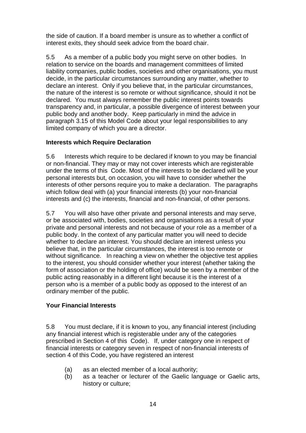the side of caution. If a board member is unsure as to whether a conflict of interest exits, they should seek advice from the board chair.

5.5 As a member of a public body you might serve on other bodies. In relation to service on the boards and management committees of limited liability companies, public bodies, societies and other organisations, you must decide, in the particular circumstances surrounding any matter, whether to declare an interest. Only if you believe that, in the particular circumstances, the nature of the interest is so remote or without significance, should it not be declared. You must always remember the public interest points towards transparency and, in particular, a possible divergence of interest between your public body and another body. Keep particularly in mind the advice in paragraph 3.15 of this Model Code about your legal responsibilities to any limited company of which you are a director.

#### **Interests which Require Declaration**

5.6 Interests which require to be declared if known to you may be financial or non-financial. They may or may not cover interests which are registerable under the terms of this Code. Most of the interests to be declared will be your personal interests but, on occasion, you will have to consider whether the interests of other persons require you to make a declaration. The paragraphs which follow deal with (a) your financial interests (b) your non-financial interests and (c) the interests, financial and non-financial, of other persons.

5.7 You will also have other private and personal interests and may serve, or be associated with, bodies, societies and organisations as a result of your private and personal interests and not because of your role as a member of a public body. In the context of any particular matter you will need to decide whether to declare an interest. You should declare an interest unless you believe that, in the particular circumstances, the interest is too remote or without significance. In reaching a view on whether the objective test applies to the interest, you should consider whether your interest (whether taking the form of association or the holding of office) would be seen by a member of the public acting reasonably in a different light because it is the interest of a person who is a member of a public body as opposed to the interest of an ordinary member of the public.

## **Your Financial Interests**

5.8 You must declare, if it is known to you, any financial interest (including any financial interest which is registerable under any of the categories prescribed in Section 4 of this Code). If, under category one in respect of financial interests or category seven in respect of non-financial interests of section 4 of this Code, you have registered an interest

- (a) as an elected member of a local authority;
- (b) as a teacher or lecturer of the Gaelic language or Gaelic arts, history or culture;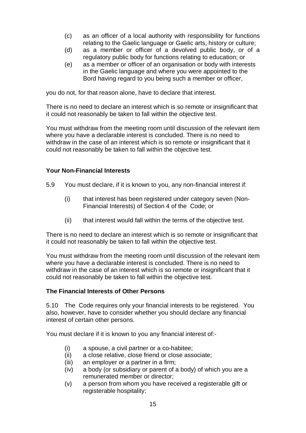- (c) as an officer of a local authority with responsibility for functions relating to the Gaelic language or Gaelic arts, history or culture;
- (d) as a member or officer of a devolved public body, or of a regulatory public body for functions relating to education; or
- (e) as a member or officer of an organisation or body with interests in the Gaelic language and where you were appointed to the Bord having regard to you being such a member or officer,

you do not, for that reason alone, have to declare that interest.

There is no need to declare an interest which is so remote or insignificant that it could not reasonably be taken to fall within the objective test.

You must withdraw from the meeting room until discussion of the relevant item where you have a declarable interest is concluded. There is no need to withdraw in the case of an interest which is so remote or insignificant that it could not reasonably be taken to fall within the objective test.

#### **Your Non-Financial Interests**

- 5.9 You must declare, if it is known to you, any non-financial interest if:
	- (i) that interest has been registered under category seven (Non-Financial Interests) of Section 4 of the Code; or
	- (ii) that interest would fall within the terms of the objective test.

There is no need to declare an interest which is so remote or insignificant that it could not reasonably be taken to fall within the objective test.

You must withdraw from the meeting room until discussion of the relevant item where you have a declarable interest is concluded. There is no need to withdraw in the case of an interest which is so remote or insignificant that it could not reasonably be taken to fall within the objective test.

#### **The Financial Interests of Other Persons**

5.10 The Code requires only your financial interests to be registered. You also, however, have to consider whether you should declare any financial interest of certain other persons.

You must declare if it is known to you any financial interest of:-

- (i) a spouse, a civil partner or a co-habitee;
- (ii) a close relative, close friend or close associate;
- (iii) an employer or a partner in a firm;
- (iv) a body (or subsidiary or parent of a body) of which you are a remunerated member or director;
- (v) a person from whom you have received a registerable gift or registerable hospitality;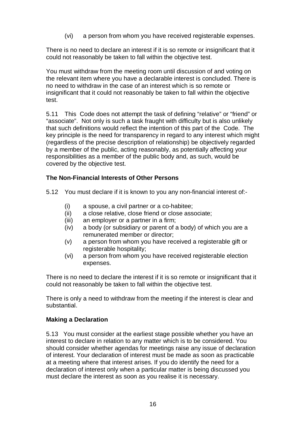(vi) a person from whom you have received registerable expenses.

There is no need to declare an interest if it is so remote or insignificant that it could not reasonably be taken to fall within the objective test.

You must withdraw from the meeting room until discussion of and voting on the relevant item where you have a declarable interest is concluded. There is no need to withdraw in the case of an interest which is so remote or insignificant that it could not reasonably be taken to fall within the objective test.

5.11 This Code does not attempt the task of defining "relative" or "friend" or "associate". Not only is such a task fraught with difficulty but is also unlikely that such definitions would reflect the intention of this part of the Code. The key principle is the need for transparency in regard to any interest which might (regardless of the precise description of relationship) be objectively regarded by a member of the public, acting reasonably, as potentially affecting your responsibilities as a member of the public body and, as such, would be covered by the objective test.

## **The Non-Financial Interests of Other Persons**

5.12 You must declare if it is known to you any non-financial interest of:-

- (i) a spouse, a civil partner or a co-habitee;
- (ii) a close relative, close friend or close associate;
- (iii) an employer or a partner in a firm;
- (iv) a body (or subsidiary or parent of a body) of which you are a remunerated member or director;
- (v) a person from whom you have received a registerable gift or registerable hospitality;
- (vi) a person from whom you have received registerable election expenses.

There is no need to declare the interest if it is so remote or insignificant that it could not reasonably be taken to fall within the objective test.

There is only a need to withdraw from the meeting if the interest is clear and substantial.

## **Making a Declaration**

5.13 You must consider at the earliest stage possible whether you have an interest to declare in relation to any matter which is to be considered. You should consider whether agendas for meetings raise any issue of declaration of interest. Your declaration of interest must be made as soon as practicable at a meeting where that interest arises. If you do identify the need for a declaration of interest only when a particular matter is being discussed you must declare the interest as soon as you realise it is necessary.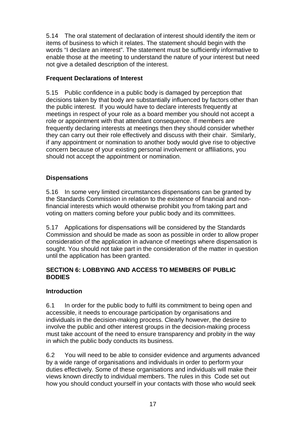5.14 The oral statement of declaration of interest should identify the item or items of business to which it relates. The statement should begin with the words "I declare an interest". The statement must be sufficiently informative to enable those at the meeting to understand the nature of your interest but need not give a detailed description of the interest.

## **Frequent Declarations of Interest**

5.15 Public confidence in a public body is damaged by perception that decisions taken by that body are substantially influenced by factors other than the public interest. If you would have to declare interests frequently at meetings in respect of your role as a board member you should not accept a role or appointment with that attendant consequence. If members are frequently declaring interests at meetings then they should consider whether they can carry out their role effectively and discuss with their chair. Similarly, if any appointment or nomination to another body would give rise to objective concern because of your existing personal involvement or affiliations, you should not accept the appointment or nomination.

## **Dispensations**

5.16 In some very limited circumstances dispensations can be granted by the Standards Commission in relation to the existence of financial and nonfinancial interests which would otherwise prohibit you from taking part and voting on matters coming before your public body and its committees.

5.17 Applications for dispensations will be considered by the Standards Commission and should be made as soon as possible in order to allow proper consideration of the application in advance of meetings where dispensation is sought. You should not take part in the consideration of the matter in question until the application has been granted.

## **SECTION 6: LOBBYING AND ACCESS TO MEMBERS OF PUBLIC BODIES**

## **Introduction**

6.1 In order for the public body to fulfil its commitment to being open and accessible, it needs to encourage participation by organisations and individuals in the decision-making process. Clearly however, the desire to involve the public and other interest groups in the decision-making process must take account of the need to ensure transparency and probity in the way in which the public body conducts its business.

6.2 You will need to be able to consider evidence and arguments advanced by a wide range of organisations and individuals in order to perform your duties effectively. Some of these organisations and individuals will make their views known directly to individual members. The rules in this Code set out how you should conduct yourself in your contacts with those who would seek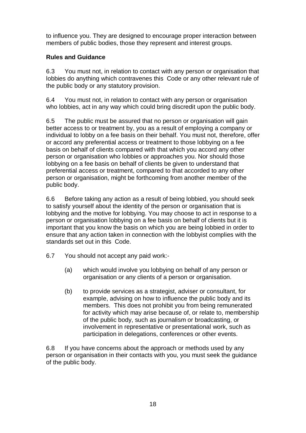to influence you. They are designed to encourage proper interaction between members of public bodies, those they represent and interest groups.

## **Rules and Guidance**

6.3 You must not, in relation to contact with any person or organisation that lobbies do anything which contravenes this Code or any other relevant rule of the public body or any statutory provision.

6.4 You must not, in relation to contact with any person or organisation who lobbies, act in any way which could bring discredit upon the public body.

6.5 The public must be assured that no person or organisation will gain better access to or treatment by, you as a result of employing a company or individual to lobby on a fee basis on their behalf. You must not, therefore, offer or accord any preferential access or treatment to those lobbying on a fee basis on behalf of clients compared with that which you accord any other person or organisation who lobbies or approaches you. Nor should those lobbying on a fee basis on behalf of clients be given to understand that preferential access or treatment, compared to that accorded to any other person or organisation, might be forthcoming from another member of the public body.

6.6 Before taking any action as a result of being lobbied, you should seek to satisfy yourself about the identity of the person or organisation that is lobbying and the motive for lobbying. You may choose to act in response to a person or organisation lobbying on a fee basis on behalf of clients but it is important that you know the basis on which you are being lobbied in order to ensure that any action taken in connection with the lobbyist complies with the standards set out in this Code.

- 6.7 You should not accept any paid work:-
	- (a) which would involve you lobbying on behalf of any person or organisation or any clients of a person or organisation.
	- (b) to provide services as a strategist, adviser or consultant, for example, advising on how to influence the public body and its members. This does not prohibit you from being remunerated for activity which may arise because of, or relate to, membership of the public body, such as journalism or broadcasting, or involvement in representative or presentational work, such as participation in delegations, conferences or other events.

6.8 If you have concerns about the approach or methods used by any person or organisation in their contacts with you, you must seek the guidance of the public body.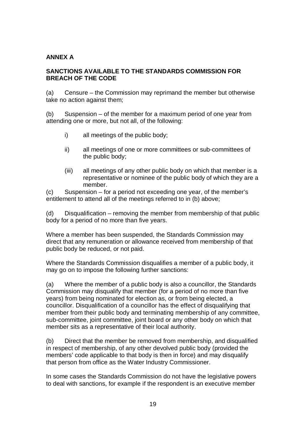#### **ANNEX A**

#### **SANCTIONS AVAILABLE TO THE STANDARDS COMMISSION FOR BREACH OF THE CODE**

(a) Censure – the Commission may reprimand the member but otherwise take no action against them;

(b) Suspension – of the member for a maximum period of one year from attending one or more, but not all, of the following:

- i) all meetings of the public body;
- ii) all meetings of one or more committees or sub-committees of the public body;
- (iii) all meetings of any other public body on which that member is a representative or nominee of the public body of which they are a member.

(c) Suspension – for a period not exceeding one year, of the member's entitlement to attend all of the meetings referred to in (b) above;

(d) Disqualification – removing the member from membership of that public body for a period of no more than five years.

Where a member has been suspended, the Standards Commission may direct that any remuneration or allowance received from membership of that public body be reduced, or not paid.

Where the Standards Commission disqualifies a member of a public body, it may go on to impose the following further sanctions:

(a) Where the member of a public body is also a councillor, the Standards Commission may disqualify that member (for a period of no more than five years) from being nominated for election as, or from being elected, a councillor. Disqualification of a councillor has the effect of disqualifying that member from their public body and terminating membership of any committee, sub-committee, joint committee, joint board or any other body on which that member sits as a representative of their local authority.

(b) Direct that the member be removed from membership, and disqualified in respect of membership, of any other devolved public body (provided the members' code applicable to that body is then in force) and may disqualify that person from office as the Water Industry Commissioner.

In some cases the Standards Commission do not have the legislative powers to deal with sanctions, for example if the respondent is an executive member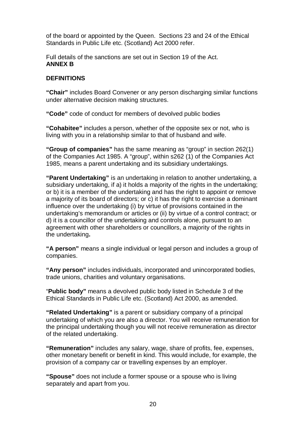of the board or appointed by the Queen. Sections 23 and 24 of the Ethical Standards in Public Life etc. (Scotland) Act 2000 refer.

Full details of the sanctions are set out in Section 19 of the Act. **ANNEX B**

#### **DEFINITIONS**

**"Chair"** includes Board Convener or any person discharging similar functions under alternative decision making structures.

**"Code"** code of conduct for members of devolved public bodies

**"Cohabitee"** includes a person, whether of the opposite sex or not, who is living with you in a relationship similar to that of husband and wife.

**"Group of companies"** has the same meaning as "group" in section 262(1) of the Companies Act 1985. A "group", within s262 (1) of the Companies Act 1985, means a parent undertaking and its subsidiary undertakings.

**"Parent Undertaking"** is an undertaking in relation to another undertaking, a subsidiary undertaking, if a) it holds a majority of the rights in the undertaking; or b) it is a member of the undertaking and has the right to appoint or remove a majority of its board of directors; or c) it has the right to exercise a dominant influence over the undertaking (i) by virtue of provisions contained in the undertaking's memorandum or articles or (ii) by virtue of a control contract; or d) it is a councillor of the undertaking and controls alone, pursuant to an agreement with other shareholders or councillors, a majority of the rights in the undertaking**.**

**"A person"** means a single individual or legal person and includes a group of companies.

**"Any person"** includes individuals, incorporated and unincorporated bodies, trade unions, charities and voluntary organisations.

"**Public body"** means a devolved public body listed in Schedule 3 of the Ethical Standards in Public Life etc. (Scotland) Act 2000, as amended.

**"Related Undertaking"** is a parent or subsidiary company of a principal undertaking of which you are also a director. You will receive remuneration for the principal undertaking though you will not receive remuneration as director of the related undertaking.

**"Remuneration"** includes any salary, wage, share of profits, fee, expenses, other monetary benefit or benefit in kind. This would include, for example, the provision of a company car or travelling expenses by an employer.

**"Spouse"** does not include a former spouse or a spouse who is living separately and apart from you.